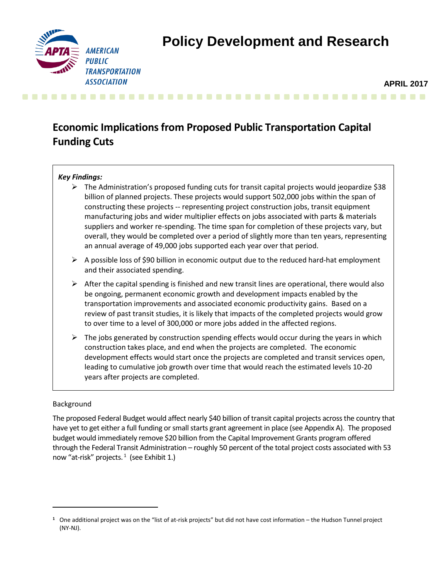

# **Economic Implications from Proposed Public Transportation Capital Funding Cuts**

### *Key Findings:*

- $\triangleright$  The Administration's proposed funding cuts for transit capital projects would jeopardize \$38 billion of planned projects. These projects would support 502,000 jobs within the span of constructing these projects -- representing project construction jobs, transit equipment manufacturing jobs and wider multiplier effects on jobs associated with parts & materials suppliers and worker re-spending. The time span for completion of these projects vary, but overall, they would be completed over a period of slightly more than ten years, representing an annual average of 49,000 jobs supported each year over that period.
- $\triangleright$  A possible loss of \$90 billion in economic output due to the reduced hard-hat employment and their associated spending.
- $\triangleright$  After the capital spending is finished and new transit lines are operational, there would also be ongoing, permanent economic growth and development impacts enabled by the transportation improvements and associated economic productivity gains. Based on a review of past transit studies, it is likely that impacts of the completed projects would grow to over time to a level of 300,000 or more jobs added in the affected regions.
- $\triangleright$  The jobs generated by construction spending effects would occur during the years in which construction takes place, and end when the projects are completed. The economic development effects would start once the projects are completed and transit services open, leading to cumulative job growth over time that would reach the estimated levels 10-20 years after projects are completed.

### Background

 $\overline{\phantom{a}}$ 

The proposed Federal Budget would affect nearly \$40 billion of transit capital projects across the country that have yet to get either a full funding or small starts grant agreement in place (see Appendix A). The proposed budget would immediately remove \$20 billion from the Capital Improvement Grants program offered through the Federal Transit Administration – roughly 50 percent of the total project costs associated with 53 now "at-risk" projects. $^1$  (see Exhibit 1.)

**<sup>1</sup>** One additional project was on the "list of at-risk projects" but did not have cost information – the Hudson Tunnel project (NY-NJ).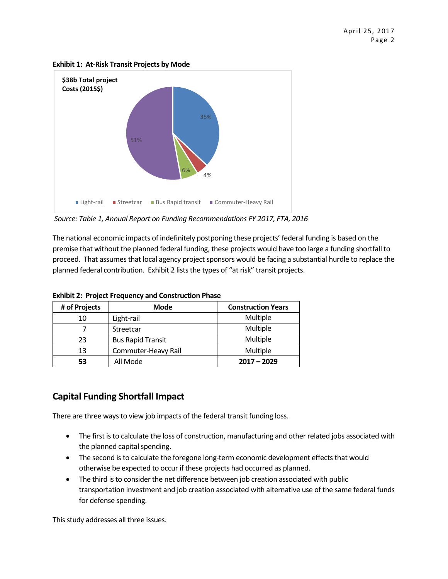**Exhibit 1: At-Risk Transit Projects by Mode**



*Source: Table 1, Annual Report on Funding Recommendations FY 2017, FTA, 2016*

The national economic impacts of indefinitely postponing these projects' federal funding is based on the premise that without the planned federal funding, these projects would have too large a funding shortfall to proceed. That assumes that local agency project sponsors would be facing a substantial hurdle to replace the planned federal contribution. Exhibit 2 lists the types of "at risk" transit projects.

| # of Projects | <b>Mode</b>              | <b>Construction Years</b> |
|---------------|--------------------------|---------------------------|
| 10            | Light-rail               | Multiple                  |
|               | Streetcar                | Multiple                  |
| 23            | <b>Bus Rapid Transit</b> | Multiple                  |
| 13            | Commuter-Heavy Rail      | Multiple                  |
|               | All Mode                 | $2017 - 2029$             |

**Exhibit 2: Project Frequency and Construction Phase**

## **Capital Funding Shortfall Impact**

There are three ways to view job impacts of the federal transit funding loss.

- The first is to calculate the loss of construction, manufacturing and other related jobs associated with the planned capital spending.
- The second is to calculate the foregone long-term economic development effects that would otherwise be expected to occur if these projects had occurred as planned.
- The third is to consider the net difference between job creation associated with public transportation investment and job creation associated with alternative use of the same federal funds for defense spending.

This study addresses all three issues.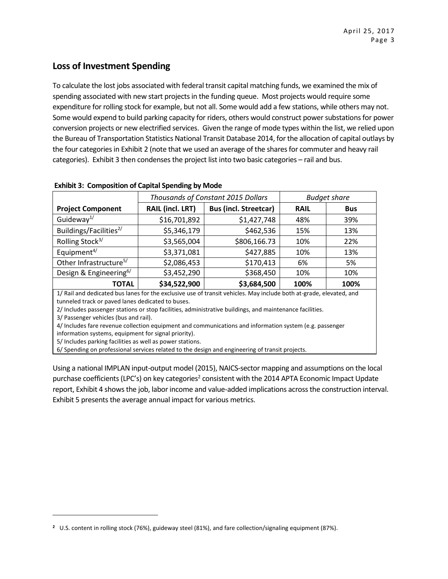### **Loss of Investment Spending**

To calculate the lost jobs associated with federal transit capital matching funds, we examined the mix of spending associated with new start projects in the funding queue. Most projects would require some expenditure for rolling stock for example, but not all. Some would add a few stations, while others may not. Some would expend to build parking capacity for riders, others would construct power substations for power conversion projects or new electrified services. Given the range of mode types within the list, we relied upon the Bureau of Transportation Statistics National Transit Database 2014, for the allocation of capital outlays by the four categories in Exhibit 2 (note that we used an average of the shares for commuter and heavy rail categories). Exhibit 3 then condenses the project list into two basic categories – rail and bus.

|                                                                                                                                                                                                                                                                                                                                                                                                                                                                                                  | Thousands of Constant 2015 Dollars |                              | <b>Budget share</b> |            |  |
|--------------------------------------------------------------------------------------------------------------------------------------------------------------------------------------------------------------------------------------------------------------------------------------------------------------------------------------------------------------------------------------------------------------------------------------------------------------------------------------------------|------------------------------------|------------------------------|---------------------|------------|--|
| <b>Project Component</b>                                                                                                                                                                                                                                                                                                                                                                                                                                                                         | RAIL (incl. LRT)                   | <b>Bus (incl. Streetcar)</b> | <b>RAIL</b>         | <b>Bus</b> |  |
| Guideway <sup>1/</sup>                                                                                                                                                                                                                                                                                                                                                                                                                                                                           | \$16,701,892                       | \$1,427,748                  | 48%                 | 39%        |  |
| Buildings/Facilities <sup>2/</sup>                                                                                                                                                                                                                                                                                                                                                                                                                                                               | \$5,346,179                        | \$462,536                    | 15%                 | 13%        |  |
| Rolling Stock <sup>3/</sup>                                                                                                                                                                                                                                                                                                                                                                                                                                                                      | \$3,565,004                        | \$806,166.73                 | 10%                 | 22%        |  |
| Equipment <sup>4/</sup>                                                                                                                                                                                                                                                                                                                                                                                                                                                                          | \$3,371,081                        | \$427,885                    | 10%                 | 13%        |  |
| Other Infrastructure <sup>5/</sup>                                                                                                                                                                                                                                                                                                                                                                                                                                                               | \$2,086,453                        | \$170,413                    | 6%                  | 5%         |  |
| Design & Engineering <sup>6/</sup>                                                                                                                                                                                                                                                                                                                                                                                                                                                               | \$3,452,290                        | \$368,450                    | 10%                 | 10%        |  |
| <b>TOTAL</b>                                                                                                                                                                                                                                                                                                                                                                                                                                                                                     | \$34,522,900                       | \$3,684,500                  | 100%                | 100%       |  |
| 1/ Rail and dedicated bus lanes for the exclusive use of transit vehicles. May include both at-grade, elevated, and<br>tunneled track or paved lanes dedicated to buses.<br>2/ Includes passenger stations or stop facilities, administrative buildings, and maintenance facilities.<br>3/ Passenger vehicles (bus and rail).<br>4/ Includes fare revenue collection equipment and communications and information system (e.g. passenger<br>information systems, equipment for signal priority). |                                    |                              |                     |            |  |
| 5/ Includes parking facilities as well as nower stations                                                                                                                                                                                                                                                                                                                                                                                                                                         |                                    |                              |                     |            |  |

#### **Exhibit 3: Composition of Capital Spending by Mode**

5/ Includes parking facilities as well as power stations.

 $\overline{a}$ 

6/ Spending on professional services related to the design and engineering of transit projects.

Using a national IMPLAN input-output model (2015), NAICS-sector mapping and assumptions on the local purchase coefficients (LPC's) on key categories<sup>2</sup> consistent with the 2014 APTA Economic Impact Update report, Exhibit 4 shows the job, labor income and value-added implications across the construction interval. Exhibit 5 presents the average annual impact for various metrics.

**<sup>2</sup>** U.S. content in rolling stock (76%), guideway steel (81%), and fare collection/signaling equipment (87%).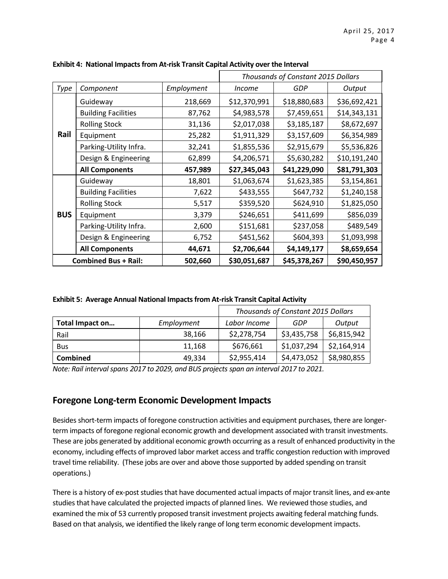|                             |                            |            | Thousands of Constant 2015 Dollars |              |              |
|-----------------------------|----------------------------|------------|------------------------------------|--------------|--------------|
| <b>Type</b>                 | Component                  | Employment | Income                             | GDP          | Output       |
|                             | Guideway                   | 218,669    | \$12,370,991                       | \$18,880,683 | \$36,692,421 |
|                             | <b>Building Facilities</b> | 87,762     | \$4,983,578                        | \$7,459,651  | \$14,343,131 |
|                             | <b>Rolling Stock</b>       | 31,136     | \$2,017,038                        | \$3,185,187  | \$8,672,697  |
| Rail                        | Equipment                  | 25,282     | \$1,911,329                        | \$3,157,609  | \$6,354,989  |
|                             | Parking-Utility Infra.     | 32,241     | \$1,855,536                        | \$2,915,679  | \$5,536,826  |
|                             | Design & Engineering       | 62,899     | \$4,206,571                        | \$5,630,282  | \$10,191,240 |
|                             | <b>All Components</b>      | 457,989    | \$27,345,043                       | \$41,229,090 | \$81,791,303 |
| <b>BUS</b>                  | Guideway                   | 18,801     | \$1,063,674                        | \$1,623,385  | \$3,154,861  |
|                             | <b>Building Facilities</b> | 7,622      | \$433,555                          | \$647,732    | \$1,240,158  |
|                             | <b>Rolling Stock</b>       | 5,517      | \$359,520                          | \$624,910    | \$1,825,050  |
|                             | Equipment                  | 3,379      | \$246,651                          | \$411,699    | \$856,039    |
|                             | Parking-Utility Infra.     | 2,600      | \$151,681                          | \$237,058    | \$489,549    |
|                             | Design & Engineering       | 6,752      | \$451,562                          | \$604,393    | \$1,093,998  |
|                             | <b>All Components</b>      | 44,671     | \$2,706,644                        | \$4,149,177  | \$8,659,654  |
| <b>Combined Bus + Rail:</b> |                            | 502,660    | \$30,051,687                       | \$45,378,267 | \$90,450,957 |

**Exhibit 4: National Impacts from At-risk Transit Capital Activity over the Interval**

**Exhibit 5: Average Annual National Impacts from At-risk Transit Capital Activity**

|                 |            | Thousands of Constant 2015 Dollars |             |             |
|-----------------|------------|------------------------------------|-------------|-------------|
| Total Impact on | Employment | Labor Income                       | GDP         | Output      |
| Rail            | 38,166     | \$2,278,754                        | \$3,435,758 | \$6,815,942 |
| <b>Bus</b>      | 11,168     | \$676,661                          | \$1,037,294 | \$2,164,914 |
| <b>Combined</b> | 49,334     | \$2,955,414                        | \$4,473,052 | \$8,980,855 |

*Note: Rail interval spans 2017 to 2029, and BUS projects span an interval 2017 to 2021.*

### **Foregone Long-term Economic Development Impacts**

Besides short-term impacts of foregone construction activities and equipment purchases, there are longerterm impacts of foregone regional economic growth and development associated with transit investments. These are jobs generated by additional economic growth occurring as a result of enhanced productivity in the economy, including effects of improved labor market access and traffic congestion reduction with improved travel time reliability. (These jobs are over and above those supported by added spending on transit operations.)

There is a history of ex-post studies that have documented actual impacts of major transit lines, and ex-ante studies that have calculated the projected impacts of planned lines. We reviewed those studies, and examined the mix of 53 currently proposed transit investment projects awaiting federal matching funds. Based on that analysis, we identified the likely range of long term economic development impacts.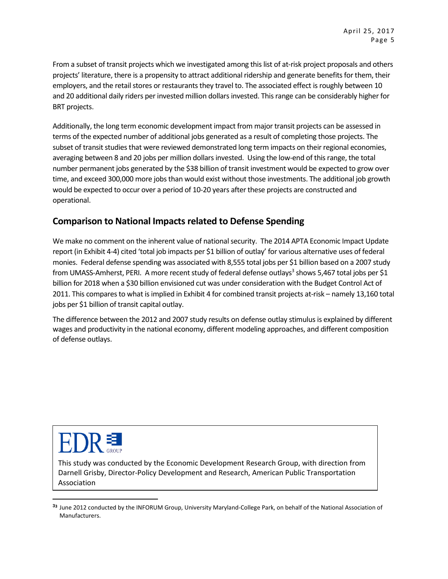From a subset of transit projects which we investigated among this list of at-risk project proposals and others projects' literature, there is a propensity to attract additional ridership and generate benefits for them, their employers, and the retail stores or restaurants they travel to. The associated effect is roughly between 10 and 20 additional daily riders per invested million dollars invested. This range can be considerably higher for BRT projects.

Additionally, the long term economic development impact from major transit projects can be assessed in terms of the expected number of additional jobs generated as a result of completing those projects. The subset of transit studies that were reviewed demonstrated long term impacts on their regional economies, averaging between 8 and 20 jobs per million dollars invested. Using the low-end of this range, the total number permanent jobs generated by the \$38 billion of transit investment would be expected to grow over time, and exceed 300,000 more jobs than would exist without those investments. The additional job growth would be expected to occur over a period of 10-20 years after these projects are constructed and operational.

### **Comparison to National Impacts related to Defense Spending**

We make no comment on the inherent value of national security. The 2014 APTA Economic Impact Update report (in Exhibit 4-4) cited 'total job impacts per \$1 billion of outlay' for various alternative uses of federal monies. Federal defense spending was associated with 8,555 total jobs per \$1 billion based on a 2007 study from UMASS-Amherst, PERI. A more recent study of federal defense outlays<sup>3</sup> shows 5,467 total jobs per \$1 billion for 2018 when a \$30 billion envisioned cut was under consideration with the Budget Control Act of 2011. This compares to what is implied in Exhibit 4 for combined transit projects at-risk – namely 13,160 total jobs per \$1 billion of transit capital outlay.

The difference between the 2012 and 2007 study results on defense outlay stimulus is explained by different wages and productivity in the national economy, different modeling approaches, and different composition of defense outlays.



 $\overline{\phantom{a}}$ 

This study was conducted by the Economic Development Research Group, with direction from Darnell Grisby, Director-Policy Development and Research, American Public Transportation Association

**<sup>3</sup>3** June 2012 conducted by the INFORUM Group, University Maryland-College Park, on behalf of the National Association of Manufacturers.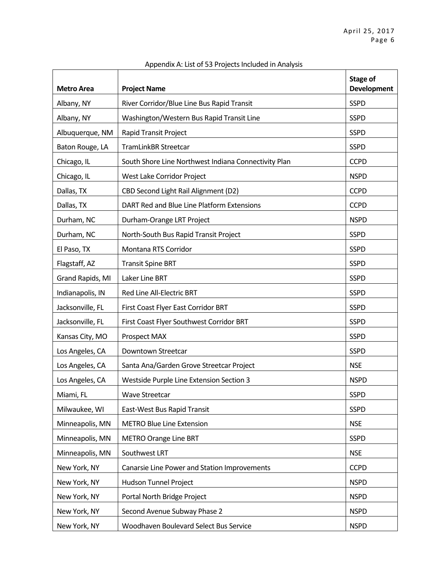| <b>Metro Area</b> | <b>Project Name</b>                                  | <b>Stage of</b><br><b>Development</b> |
|-------------------|------------------------------------------------------|---------------------------------------|
| Albany, NY        | River Corridor/Blue Line Bus Rapid Transit           | <b>SSPD</b>                           |
| Albany, NY        | Washington/Western Bus Rapid Transit Line            | <b>SSPD</b>                           |
| Albuquerque, NM   | Rapid Transit Project                                | <b>SSPD</b>                           |
| Baton Rouge, LA   | <b>TramLinkBR Streetcar</b>                          | <b>SSPD</b>                           |
| Chicago, IL       | South Shore Line Northwest Indiana Connectivity Plan | <b>CCPD</b>                           |
| Chicago, IL       | West Lake Corridor Project                           | <b>NSPD</b>                           |
| Dallas, TX        | CBD Second Light Rail Alignment (D2)                 | <b>CCPD</b>                           |
| Dallas, TX        | DART Red and Blue Line Platform Extensions           | <b>CCPD</b>                           |
| Durham, NC        | Durham-Orange LRT Project                            | <b>NSPD</b>                           |
| Durham, NC        | North-South Bus Rapid Transit Project                | <b>SSPD</b>                           |
| El Paso, TX       | Montana RTS Corridor                                 | <b>SSPD</b>                           |
| Flagstaff, AZ     | <b>Transit Spine BRT</b>                             | <b>SSPD</b>                           |
| Grand Rapids, MI  | Laker Line BRT                                       | <b>SSPD</b>                           |
| Indianapolis, IN  | Red Line All-Electric BRT                            | <b>SSPD</b>                           |
| Jacksonville, FL  | First Coast Flyer East Corridor BRT                  | <b>SSPD</b>                           |
| Jacksonville, FL  | First Coast Flyer Southwest Corridor BRT             | <b>SSPD</b>                           |
| Kansas City, MO   | Prospect MAX                                         | <b>SSPD</b>                           |
| Los Angeles, CA   | Downtown Streetcar                                   | <b>SSPD</b>                           |
| Los Angeles, CA   | Santa Ana/Garden Grove Streetcar Project             | <b>NSE</b>                            |
| Los Angeles, CA   | Westside Purple Line Extension Section 3             | <b>NSPD</b>                           |
| Miami, FL         | <b>Wave Streetcar</b>                                | <b>SSPD</b>                           |
| Milwaukee, WI     | East-West Bus Rapid Transit                          | <b>SSPD</b>                           |
| Minneapolis, MN   | <b>METRO Blue Line Extension</b>                     | <b>NSE</b>                            |
| Minneapolis, MN   | <b>METRO Orange Line BRT</b>                         | <b>SSPD</b>                           |
| Minneapolis, MN   | Southwest LRT                                        | <b>NSE</b>                            |
| New York, NY      | Canarsie Line Power and Station Improvements         | <b>CCPD</b>                           |
| New York, NY      | Hudson Tunnel Project                                | <b>NSPD</b>                           |
| New York, NY      | Portal North Bridge Project                          | <b>NSPD</b>                           |
| New York, NY      | Second Avenue Subway Phase 2                         | <b>NSPD</b>                           |
| New York, NY      | Woodhaven Boulevard Select Bus Service               | <b>NSPD</b>                           |

#### Appendix A: List of 53 Projects Included in Analysis